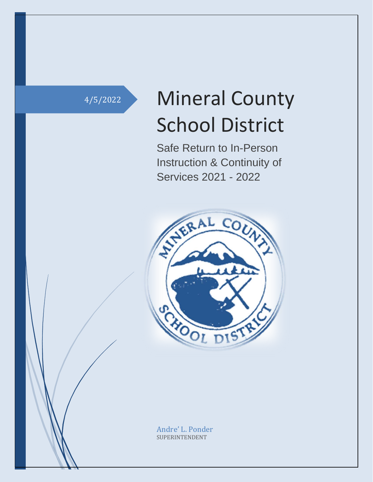# 4/5/2022 Mineral County School District

Safe Return to In-Person Instruction & Continuity of Services 2021 - 2022



Andre' L. Ponder SUPERINTENDENT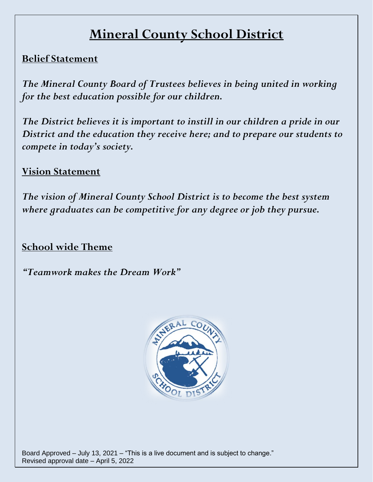## **Mineral County School District**

## **Belief Statement**

*The Mineral County Board of Trustees believes in being united in working for the best education possible for our children.*

*The District believes it is important to instill in our children a pride in our District and the education they receive here; and to prepare our students to compete in today's society.*

## **Vision Statement**

*The vision of Mineral County School District is to become the best system where graduates can be competitive for any degree or job they pursue.* 

## **School wide Theme**

*"Teamwork makes the Dream Work"*

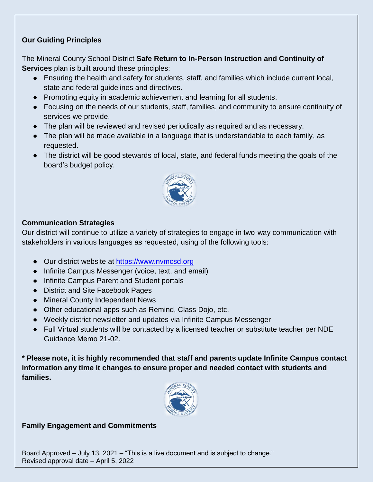### **Our Guiding Principles**

The Mineral County School District **Safe Return to In-Person Instruction and Continuity of Services** plan is built around these principles:

- Ensuring the health and safety for students, staff, and families which include current local, state and federal guidelines and directives.
- Promoting equity in academic achievement and learning for all students.
- Focusing on the needs of our students, staff, families, and community to ensure continuity of services we provide.
- The plan will be reviewed and revised periodically as required and as necessary.
- The plan will be made available in a language that is understandable to each family, as requested.
- The district will be good stewards of local, state, and federal funds meeting the goals of the board's budget policy.



#### **Communication Strategies**

Our district will continue to utilize a variety of strategies to engage in two-way communication with stakeholders in various languages as requested, using of the following tools:

- Our district website at [https://www.nvmcsd.org](https://www.nvmcsd.org/)
- Infinite Campus Messenger (voice, text, and email)
- Infinite Campus Parent and Student portals
- District and Site Facebook Pages
- Mineral County Independent News
- Other educational apps such as Remind, Class Dojo, etc.
- Weekly district newsletter and updates via Infinite Campus Messenger
- Full Virtual students will be contacted by a licensed teacher or substitute teacher per NDE Guidance Memo 21-02.

**\* Please note, it is highly recommended that staff and parents update Infinite Campus contact information any time it changes to ensure proper and needed contact with students and families.**



#### **Family Engagement and Commitments**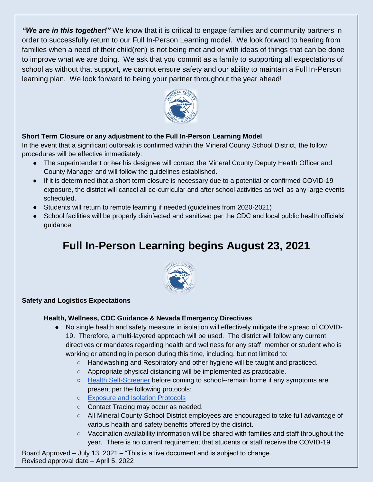*"We are in this together!"* We know that it is critical to engage families and community partners in order to successfully return to our Full In-Person Learning model. We look forward to hearing from families when a need of their child(ren) is not being met and or with ideas of things that can be done to improve what we are doing. We ask that you commit as a family to supporting all expectations of school as without that support, we cannot ensure safety and our ability to maintain a Full In-Person learning plan. We look forward to being your partner throughout the year ahead!



#### **Short Term Closure or any adjustment to the Full In-Person Learning Model**

In the event that a significant outbreak is confirmed within the Mineral County School District, the follow procedures will be effective immediately:

- The superintendent or her his designee will contact the Mineral County Deputy Health Officer and County Manager and will follow the guidelines established.
- If it is determined that a short term closure is necessary due to a potential or confirmed COVID-19 exposure, the district will cancel all co-curricular and after school activities as well as any large events scheduled.
- Students will return to remote learning if needed (guidelines from 2020-2021)
- School facilities will be properly disinfected and sanitized per the CDC and local public health officials' guidance.

## **Full In-Person Learning begins August 23, 2021**



#### **Safety and Logistics Expectations**

#### **Health, Wellness, CDC Guidance & Nevada Emergency Directives**

- No single health and safety measure in isolation will effectively mitigate the spread of COVID-19. Therefore, a multi-layered approach will be used. The district will follow any current directives or mandates regarding health and wellness for any staff member or student who is working or attending in person during this time, including, but not limited to:
	- Handwashing and Respiratory and other hygiene will be taught and practiced.
	- Appropriate physical distancing will be implemented as practicable.
	- [Health Self-Screener](https://drive.google.com/file/d/1FViNkSxHv2xl0G2FyEPF0I6FjOcRHjTA/view?usp=sharing) before coming to school--remain home if any symptoms are present per the following protocols:
	- [Exposure and Isolation Protocols](https://docs.google.com/document/d/10o1gWynx94qlAZckUa_ZEx41wKLIC8UatlWlOqW_Bbs/edit)
	- Contact Tracing may occur as needed.
	- All Mineral County School District employees are encouraged to take full advantage of various health and safety benefits offered by the district.
	- Vaccination availability information will be shared with families and staff throughout the year. There is no current requirement that students or staff receive the COVID-19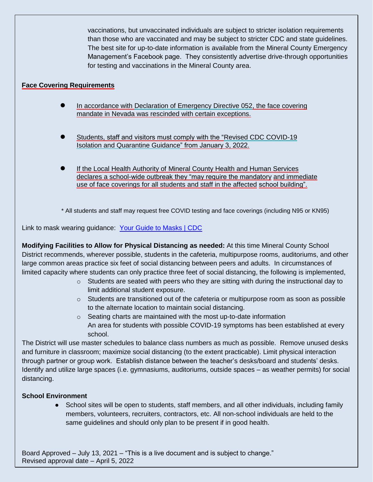vaccinations, but unvaccinated individuals are subject to stricter isolation requirements than those who are vaccinated and may be subject to stricter CDC and state guidelines. The best site for up-to-date information is available from the Mineral County Emergency Management's Facebook page. They consistently advertise drive-through opportunities for testing and vaccinations in the Mineral County area.

#### **Face Covering Requirements**

- In accordance with Declaration of Emergency Directive 052, the face covering mandate in Nevada was rescinded with certain exceptions.
- Students, staff and visitors must comply with the "Revised CDC COVID-19" Isolation and Quarantine Guidance" from January 3, 2022.
- If the Local Health Authority of Mineral County Health and Human Services declares a school-wide outbreak they "may require the mandatory and immediate use of face coverings for all students and staff in the affected school building".

\* All students and staff may request free COVID testing and face coverings (including N95 or KN95)

Link to mask wearing guidance: [Your Guide to Masks | CDC](https://www.cdc.gov/coronavirus/2019-ncov/prevent-getting-sick/about-face-coverings.html?CDC_AA_refVal=https%3A%2F%2Fwww.cdc.gov%2Fcoronavirus%2F2019-ncov%2Fprevent-getting-sick%2Fhow-to-wear-cloth-face-coverings.html)

**Modifying Facilities to Allow for Physical Distancing as needed:** At this time Mineral County School District recommends, wherever possible, students in the cafeteria, multipurpose rooms, auditoriums, and other large common areas practice six feet of social distancing between peers and adults. In circumstances of limited capacity where students can only practice three feet of social distancing, the following is implemented,

- o Students are seated with peers who they are sitting with during the instructional day to limit additional student exposure.
- $\circ$  Students are transitioned out of the cafeteria or multipurpose room as soon as possible to the alternate location to maintain social distancing.
- o Seating charts are maintained with the most up-to-date information An area for students with possible COVID-19 symptoms has been established at every school.

The District will use master schedules to balance class numbers as much as possible. Remove unused desks and furniture in classroom; maximize social distancing (to the extent practicable). Limit physical interaction through partner or group work. Establish distance between the teacher's desks/board and students' desks. Identify and utilize large spaces (i.e. gymnasiums, auditoriums, outside spaces – as weather permits) for social distancing.

#### **School Environment**

• School sites will be open to students, staff members, and all other individuals, including family members, volunteers, recruiters, contractors, etc. All non-school individuals are held to the same guidelines and should only plan to be present if in good health.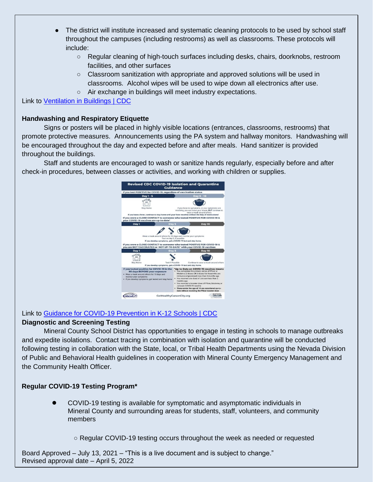- The district will institute increased and systematic cleaning protocols to be used by school staff throughout the campuses (including restrooms) as well as classrooms. These protocols will include:
	- Regular cleaning of high-touch surfaces including desks, chairs, doorknobs, restroom facilities, and other surfaces
	- Classroom sanitization with appropriate and approved solutions will be used in classrooms. Alcohol wipes will be used to wipe down all electronics after use.
	- Air exchange in buildings will meet industry expectations.

Link to [Ventilation in Buildings | CDC](https://www.cdc.gov/coronavirus/2019-ncov/community/ventilation.html)

#### **Handwashing and Respiratory Etiquette**

Signs or posters will be placed in highly visible locations (entrances, classrooms, restrooms) that promote protective measures. Announcements using the PA system and hallway monitors. Handwashing will be encouraged throughout the day and expected before and after meals. Hand sanitizer is provided throughout the buildings.

Staff and students are encouraged to wash or sanitize hands regularly, especially before and after check-in procedures, between classes or activities, and working with children or supplies.



### Link to [Guidance for COVID-19 Prevention in K-12 Schools | CDC](https://www.cdc.gov/coronavirus/2019-ncov/community/schools-childcare/k-12-guidance.html)

#### **Diagnostic and Screening Testing**

Mineral County School District has opportunities to engage in testing in schools to manage outbreaks and expedite isolations. Contact tracing in combination with isolation and quarantine will be conducted following testing in collaboration with the State, local, or Tribal Health Departments using the Nevada Division of Public and Behavioral Health guidelines in cooperation with Mineral County Emergency Management and the Community Health Officer.

#### **Regular COVID-19 Testing Program\***

- COVID-19 testing is available for symptomatic and asymptomatic individuals in Mineral County and surrounding areas for students, staff, volunteers, and community members
	- Regular COVID-19 testing occurs throughout the week as needed or requested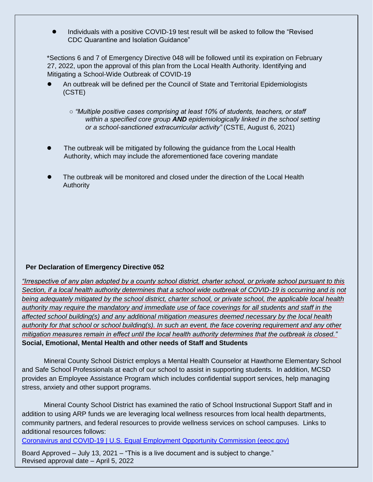● Individuals with a positive COVID-19 test result will be asked to follow the "Revised CDC Quarantine and Isolation Guidance"

\*Sections 6 and 7 of Emergency Directive 048 will be followed until its expiration on February 27, 2022, upon the approval of this plan from the Local Health Authority. Identifying and Mitigating a School-Wide Outbreak of COVID-19

- An outbreak will be defined per the Council of State and Territorial Epidemiologists (CSTE)
	- *"Multiple positive cases comprising at least 10% of students, teachers, or staff within a specified core group AND epidemiologically linked in the school setting or a school-sanctioned extracurricular activity"* (CSTE, August 6, 2021)
- The outbreak will be mitigated by following the guidance from the Local Health Authority, which may include the aforementioned face covering mandate
- The outbreak will be monitored and closed under the direction of the Local Health Authority

#### **Per Declaration of Emergency Directive 052**

*"Irrespective of any plan adopted by a county school district, charter school, or private school pursuant to this Section, if a local health authority determines that a school wide outbreak of COVID-19 is occurring and is not being adequately mitigated by the school district, charter school, or private school, the applicable local health authority may require the mandatory and immediate use of face coverings for all students and staff in the affected school building(s) and any additional mitigation measures deemed necessary by the local health authority for that school or school building(s). In such an event, the face covering requirement and any other mitigation measures remain in effect until the local health authority determines that the outbreak is closed."* **Social, Emotional, Mental Health and other needs of Staff and Students**

Mineral County School District employs a Mental Health Counselor at Hawthorne Elementary School and Safe School Professionals at each of our school to assist in supporting students. In addition, MCSD provides an Employee Assistance Program which includes confidential support services, help managing stress, anxiety and other support programs.

Mineral County School District has examined the ratio of School Instructional Support Staff and in addition to using ARP funds we are leveraging local wellness resources from local health departments, community partners, and federal resources to provide wellness services on school campuses. Links to additional resources follows:

[Coronavirus and COVID-19 | U.S. Equal Employment Opportunity Commission \(eeoc.gov\)](https://www.eeoc.gov/coronavirus)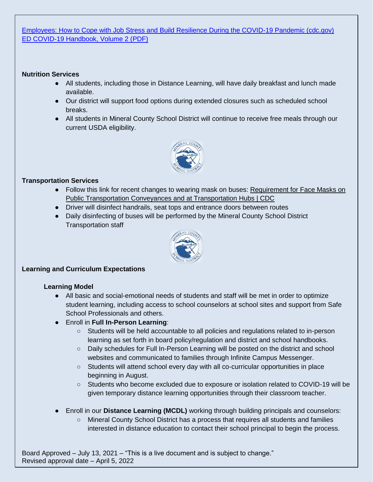[Employees: How to Cope with Job Stress and Build Resilience During the COVID-19 Pandemic \(cdc.gov\)](https://www.cdc.gov/mentalhealth/stress-coping/employee-job-stress/index.html) [ED COVID-19 Handbook, Volume 2 \(PDF\)](https://www2.ed.gov/documents/coronavirus/reopening-2.pdf)

#### **Nutrition Services**

- All students, including those in Distance Learning, will have daily breakfast and lunch made available.
- Our district will support food options during extended closures such as scheduled school breaks.
- All students in Mineral County School District will continue to receive free meals through our current USDA eligibility.



#### **Transportation Services**

- Follow this link for recent changes to wearing mask on buses: Requirement for Face Masks on [Public Transportation Conveyances and at Transportation Hubs | CDC](https://www.cdc.gov/coronavirus/2019-ncov/travelers/face-masks-public-transportation.html)
- Driver will disinfect handrails, seat tops and entrance doors between routes
- Daily disinfecting of buses will be performed by the Mineral County School District Transportation staff



#### **Learning and Curriculum Expectations**

#### **Learning Model**

- All basic and social-emotional needs of students and staff will be met in order to optimize student learning, including access to school counselors at school sites and support from Safe School Professionals and others.
- Enroll in **Full In-Person Learning**:
	- Students will be held accountable to all policies and regulations related to in-person learning as set forth in board policy/regulation and district and school handbooks.
	- Daily schedules for Full In-Person Learning will be posted on the district and school websites and communicated to families through Infinite Campus Messenger.
	- Students will attend school every day with all co-curricular opportunities in place beginning in August.
	- Students who become excluded due to exposure or isolation related to COVID-19 will be given temporary distance learning opportunities through their classroom teacher.
- Enroll in our **Distance Learning (MCDL)** working through building principals and counselors:
	- Mineral County School District has a process that requires all students and families interested in distance education to contact their school principal to begin the process.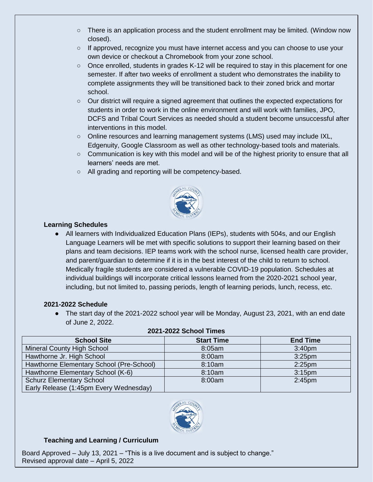- There is an application process and the student enrollment may be limited. (Window now closed).
- If approved, recognize you must have internet access and you can choose to use your own device or checkout a Chromebook from your zone school.
- Once enrolled, students in grades K-12 will be required to stay in this placement for one semester. If after two weeks of enrollment a student who demonstrates the inability to complete assignments they will be transitioned back to their zoned brick and mortar school.
- Our district will require a signed agreement that outlines the expected expectations for students in order to work in the online environment and will work with families, JPO, DCFS and Tribal Court Services as needed should a student become unsuccessful after interventions in this model.
- Online resources and learning management systems (LMS) used may include IXL, Edgenuity, Google Classroom as well as other technology-based tools and materials.
- Communication is key with this model and will be of the highest priority to ensure that all learners' needs are met.
- All grading and reporting will be competency-based.



#### **Learning Schedules**

• All learners with Individualized Education Plans (IEPs), students with 504s, and our English Language Learners will be met with specific solutions to support their learning based on their plans and team decisions. IEP teams work with the school nurse, licensed health care provider, and parent/guardian to determine if it is in the best interest of the child to return to school. Medically fragile students are considered a vulnerable COVID-19 population. Schedules at individual buildings will incorporate critical lessons learned from the 2020-2021 school year, including, but not limited to, passing periods, length of learning periods, lunch, recess, etc.

#### **2021-2022 Schedule**

• The start day of the 2021-2022 school year will be Monday, August 23, 2021, with an end date of June 2, 2022.

| <b>School Site</b>                       | <b>Start Time</b> | <b>End Time</b>    |
|------------------------------------------|-------------------|--------------------|
|                                          |                   |                    |
| <b>Mineral County High School</b>        | 8:05am            | 3:40 <sub>pm</sub> |
| Hawthorne Jr. High School                | 8:00am            | 3:25 <sub>pm</sub> |
| Hawthorne Elementary School (Pre-School) | 8:10am            | $2:25$ pm          |
| Hawthorne Elementary School (K-6)        | 8:10am            | 3:15 <sub>pm</sub> |
| <b>Schurz Elementary School</b>          | 8:00am            | 2:45 <sub>pm</sub> |
| Early Release (1:45pm Every Wednesday)   |                   |                    |

#### **2021-2022 School Times**



#### **Teaching and Learning / Curriculum**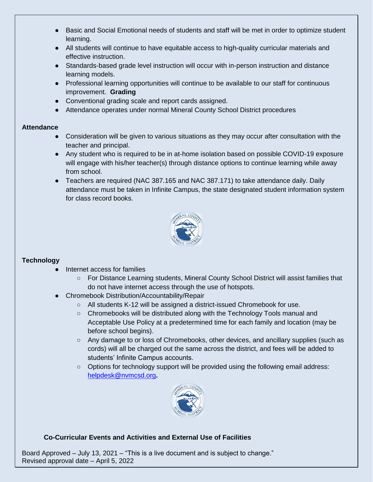- Basic and Social Emotional needs of students and staff will be met in order to optimize student learning.
- All students will continue to have equitable access to high-quality curricular materials and effective instruction.
- Standards-based grade level instruction will occur with in-person instruction and distance learning models.
- Professional learning opportunities will continue to be available to our staff for continuous improvement. **Grading**
- Conventional grading scale and report cards assigned.
- Attendance operates under normal Mineral County School District procedures

#### **Attendance**

- Consideration will be given to various situations as they may occur after consultation with the teacher and principal.
- Any student who is required to be in at-home isolation based on possible COVID-19 exposure will engage with his/her teacher(s) through distance options to continue learning while away from school.
- Teachers are required (NAC 387.165 and NAC 387.171) to take attendance daily. Daily attendance must be taken in Infinite Campus, the state designated student information system for class record books.



#### **Technology**

- Internet access for families
	- For Distance Learning students, Mineral County School District will assist families that do not have internet access through the use of hotspots.
- Chromebook Distribution/Accountability/Repair
	- All students K-12 will be assigned a district-issued Chromebook for use.
	- $\circ$  Chromebooks will be distributed along with the Technology Tools manual and Acceptable Use Policy at a predetermined time for each family and location (may be before school begins).
	- Any damage to or loss of Chromebooks, other devices, and ancillary supplies (such as cords) will all be charged out the same across the district, and fees will be added to students' Infinite Campus accounts.
	- Options for technology support will be provided using the following email address: [helpdesk@nvmcsd.org](mailto:helpdesk@nvmcsd.org)**.**



#### **Co-Curricular Events and Activities and External Use of Facilities**